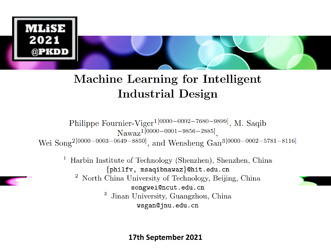

#### Machine Learning for Intelligent **Industrial Design**

Philippe Fournier-Viger<sup>1[0000-0002-7680-9899]</sup>, M. Saqib Nawaz<sup>1[0000-0001-9856-2885]</sup>, Wei Song<sup>2[0000-0003-0649-8850]</sup>, and Wensheng Gan<sup>3[0000-0002-5781-8116]</sup>

Harbin Institute of Technology (Shenzhen), Shenzhen, China  $\perp$  $\{\texttt{philfv}, \texttt{msaqibnawaz}\}$ Chit.edu.cn

North China University of Technology, Beijing, China songwei@ncut.edu.cn

> 3 Jinan University, Guangzhou, China wsgan@jnu.edu.cn

> > **17th September 2021**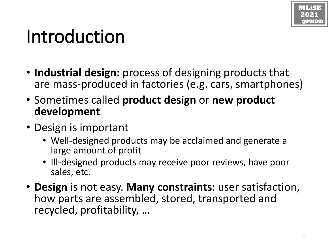## Introduction

- **Industrial design:** process of designing products that are mass-produced in factories (e.g. cars, smartphones)
- Sometimes called **product design** or **new product development**
- Design is important
	- Well-designed products may be acclaimed and generate a large amount of profit
	- Ill-designed products may receive poor reviews, have poor sales, etc.
- **Design** is not easy. **Many constraints**: user satisfaction, how parts are assembled, stored, transported and recycled, profitability, …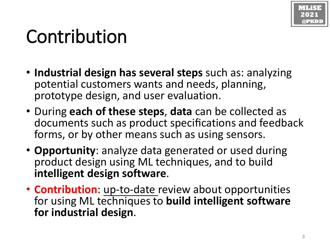

### Contribution

- **Industrial design has several steps** such as: analyzing potential customers wants and needs, planning, prototype design, and user evaluation.
- During **each of these steps**, **data** can be collected as documents such as product specifications and feedback forms, or by other means such as using sensors.
- **Opportunity**: analyze data generated or used during product design using ML techniques, and to build **intelligent design software**.
- **Contribution**: up-to-date review about opportunities for using ML techniques to **build intelligent software for industrial design**.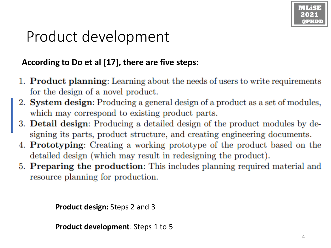### Product development

#### **According to Do et al [17], there are five steps:**

- 1. Product planning: Learning about the needs of users to write requirements for the design of a novel product.
- 2. System design: Producing a general design of a product as a set of modules, which may correspond to existing product parts.
- 3. Detail design: Producing a detailed design of the product modules by designing its parts, product structure, and creating engineering documents.
- 4. Prototyping: Creating a working prototype of the product based on the detailed design (which may result in redesigning the product).
- 5. Preparing the production: This includes planning required material and resource planning for production.

**Product design:** Steps 2 and 3

**Product development**: Steps 1 to 5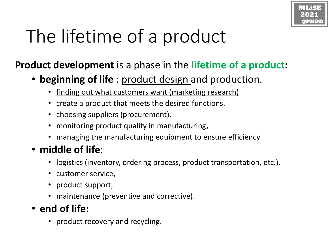# The lifetime of a product

#### **Product development** is a phase in the **lifetime of a product:**

- **beginning of life** : product design and production.
	- finding out what customers want (marketing research)
	- create a product that meets the desired functions.
	- choosing suppliers (procurement),
	- monitoring product quality in manufacturing,
	- managing the manufacturing equipment to ensure efficiency

#### • **middle of life**:

- logistics (inventory, ordering process, product transportation, etc.),
- customer service,
- product support,
- maintenance (preventive and corrective).
- **end of life:**
	- product recovery and recycling.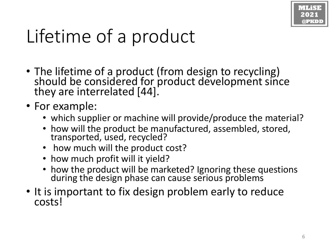

## Lifetime of a product

- The lifetime of a product (from design to recycling) should be considered for product development since they are interrelated [44].
- For example:
	- which supplier or machine will provide/produce the material?
	- how will the product be manufactured, assembled, stored, transported, used, recycled?
	- how much will the product cost?
	- how much profit will it yield?
	- how the product will be marketed? Ignoring these questions during the design phase can cause serious problems
- It is important to fix design problem early to reduce costs!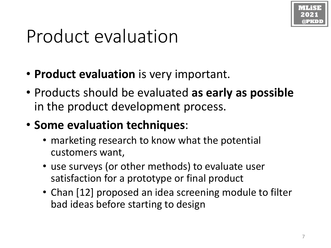

### Product evaluation

- **Product evaluation** is very important.
- Products should be evaluated **as early as possible**  in the product development process.
- **Some evaluation techniques**:
	- marketing research to know what the potential customers want,
	- use surveys (or other methods) to evaluate user satisfaction for a prototype or final product
	- Chan [12] proposed an idea screening module to filter bad ideas before starting to design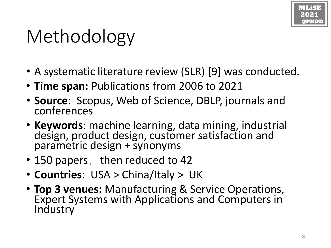## Methodology

- A systematic literature review (SLR) [9] was conducted.
- **Time span:** Publications from 2006 to 2021
- **Source**: Scopus, Web of Science, DBLP, journals and conferences
- **Keywords**: machine learning, data mining, industrial design, product design, customer satisfaction and parametric design + synonyms
- 150 papers, then reduced to 42
- **Countries**: USA > China/Italy > UK
- **Top 3 venues:** Manufacturing & Service Operations, Expert Systems with Applications and Computers in **Industry**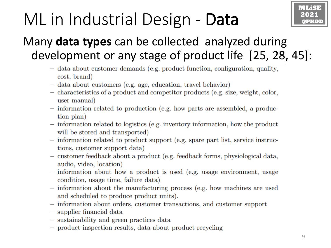### ML in Industrial Design - Data



### Many **data types** can be collected analyzed during development or any stage of product life [25, 28, 45]:

- data about customer demands (e.g. product function, configuration, quality, cost, brand)
- data about customers (e.g. age, education, travel behavior)
- characteristics of a product and competitor products (e.g. size, weight, color, user manual)
- information related to production (e.g. how parts are assembled, a production plan)
- information related to logistics (e.g. inventory information, how the product will be stored and transported)
- information related to product support (e.g. spare part list, service instructions, customer support data)
- customer feedback about a product (e.g. feedback forms, physiological data, audio, video, location)
- information about how a product is used (e.g. usage environment, usage condition, usage time, failure data)
- information about the manufacturing process (e.g. how machines are used and scheduled to produce product units).
- information about orders, customer transactions, and customer support
- $-$  supplier financial data
- sustainability and green practices data
- product inspection results, data about product recycling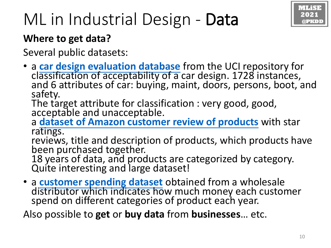

### ML in Industrial Design - Data

#### **Where to get data?**

Several public datasets:

• a **[car design evaluation database](https://archive.ics.uci.edu/ml/datasets/Car+Evaluation)** from the UCI repository for classification of acceptability of a car design. 1728 instances, and 6 attributes of car: buying, maint, doors, persons, boot, and safety.

The target attribute for classification : very good, good, acceptable and unacceptable.

a **[dataset of Amazon customer review of products](https://snap.stanford.edu/data/web-Amazon.html)** with star ratings.

reviews, title and description of products, which products have been purchased together.

18 years of data, and products are categorized by category. Quite interesting and large dataset!

• a **[customer spending dataset](https://archive.ics.uci.edu/ml/datasets/Wholesale+customers)** obtained from a wholesale distributor which indicates how much money each customer spend on different categories of product each year.

Also possible to **get** or **buy data** from **businesses**… etc.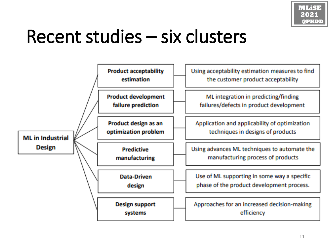

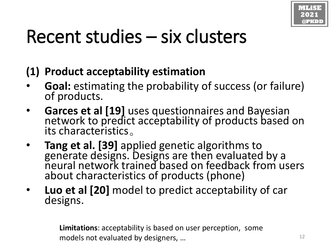

#### **(1) Product acceptability estimation**

- **Goal:** estimating the probability of success (or failure) of products.
- **Garces et al [19]** uses questionnaires and Bayesian network to predict acceptability of products based on its characteristics。
- **Tang et al. [39]** applied genetic algorithms to generate designs. Designs are then evaluated by a neural network trained based on feedback from users about characteristics of products (phone)
- **Luo et al [20]** model to predict acceptability of car designs.

**Limitations**: acceptability is based on user perception, some models not evaluated by designers, …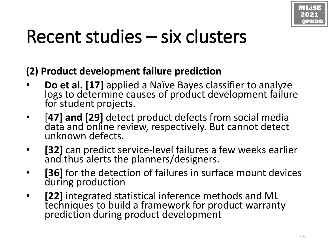

#### **(2) Product development failure prediction**

- **Do et al. [17]** applied a Naïve Bayes classifier to analyze logs to determine causes of product development failure for student projects.
- [**47] and [29]** detect product defects from social media data and online review, respectively. But cannot detect unknown defects.
- **[32]** can predict service-level failures a few weeks earlier and thus alerts the planners/designers.
- [36] for the detection of failures in surface mount devices during production
- [22] integrated statistical inference methods and ML techniques to build a framework for product warranty prediction during product development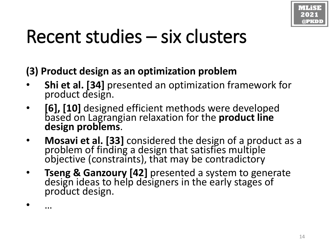

**(3) Product design as an optimization problem** 

- **Shi et al. [34]** presented an optimization framework for product design.
- **[6], [10]** designed efficient methods were developed based on Lagrangian relaxation for the **product line design problems**.
- **Mosavi et al. [33]** considered the design of a product as a problem of finding a design that satisfies multiple objective (constraints), that may be contradictory
- **Tseng & Ganzoury [42]** presented a system to generate design ideas to help designers in the early stages of product design.

• …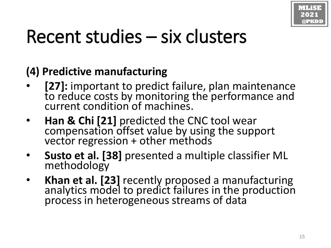

#### **(4) Predictive manufacturing**

- **[27]:** important to predict failure, plan maintenance to reduce costs by monitoring the performance and current condition of machines.
- **Han & Chi [21]** predicted the CNC tool wear compensation offset value by using the support vector regression + other methods
- **Susto et al. [38]** presented a multiple classifier ML methodology
- **Khan et al. [23]** recently proposed a manufacturing analytics model to predict failures in the production process in heterogeneous streams of data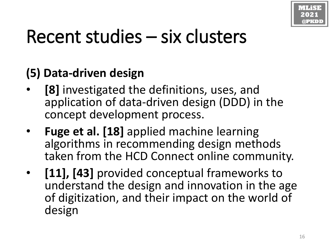

#### **(5) Data-driven design**

- **[8]** investigated the definitions, uses, and application of data-driven design (DDD) in the concept development process.
- **Fuge et al. [18]** applied machine learning algorithms in recommending design methods taken from the HCD Connect online community.
- **[11], [43]** provided conceptual frameworks to understand the design and innovation in the age of digitization, and their impact on the world of design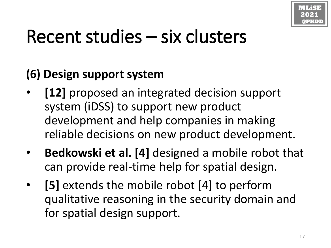

### **(6) Design support system**

- [12] proposed an integrated decision support system (iDSS) to support new product development and help companies in making reliable decisions on new product development.
- **Bedkowski et al. [4]** designed a mobile robot that can provide real-time help for spatial design.
- **[5]** extends the mobile robot [4] to perform qualitative reasoning in the security domain and for spatial design support.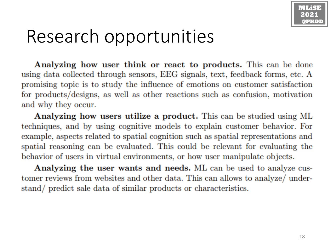

### Research opportunities

Analyzing how user think or react to products. This can be done using data collected through sensors, EEG signals, text, feedback forms, etc. A promising topic is to study the influence of emotions on customer satisfaction for products/designs, as well as other reactions such as confusion, motivation and why they occur.

Analyzing how users utilize a product. This can be studied using ML techniques, and by using cognitive models to explain customer behavior. For example, aspects related to spatial cognition such as spatial representations and spatial reasoning can be evaluated. This could be relevant for evaluating the behavior of users in virtual environments, or how user manipulate objects.

Analyzing the user wants and needs. ML can be used to analyze customer reviews from websites and other data. This can allows to analyze/ understand/ predict sale data of similar products or characteristics.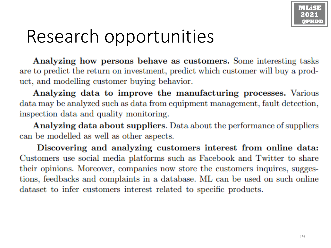### Research opportunities

Analyzing how persons behave as customers. Some interesting tasks are to predict the return on investment, predict which customer will buy a product, and modelling customer buying behavior.

Analyzing data to improve the manufacturing processes. Various data may be analyzed such as data from equipment management, fault detection, inspection data and quality monitoring.

**Analyzing data about suppliers.** Data about the performance of suppliers can be modelled as well as other aspects.

Discovering and analyzing customers interest from online data: Customers use social media platforms such as Facebook and Twitter to share their opinions. Moreover, companies now store the customers inquires, suggestions, feedbacks and complaints in a database. ML can be used on such online dataset to infer customers interest related to specific products.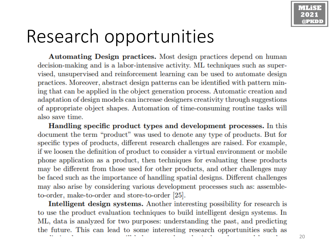### Research opportunities

Automating Design practices. Most design practices depend on human decision-making and is a labor-intensive activity. ML techniques such as supervised, unsupervised and reinforcement learning can be used to automate design practices. Moreover, abstract design patterns can be identified with pattern mining that can be applied in the object generation process. Automatic creation and adaptation of design models can increase designers creativity through suggestions of appropriate object shapes. Automation of time-consuming routine tasks will also save time.

Handling specific product types and development processes. In this document the term "product" was used to denote any type of products. But for specific types of products, different research challenges are raised. For example, if we loosen the definition of product to consider a virtual environment or mobile phone application as a product, then techniques for evaluating these products may be different from those used for other products, and other challenges may be faced such as the importance of handling spatial designs. Different challenges may also arise by considering various development processes such as: assembleto-order, make-to-order and store-to-order [25].

**Intelligent design systems.** Another interesting possibility for research is to use the product evaluation techniques to build intelligent design systems. In ML, data is analyzed for two purposes: understanding the past, and predicting the future. This can lead to some interesting research opportunities such as

20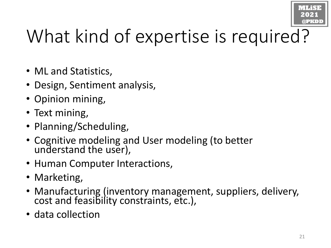

# What kind of expertise is required?

- ML and Statistics,
- Design, Sentiment analysis,
- Opinion mining,
- Text mining,
- Planning/Scheduling,
- Cognitive modeling and User modeling (to better understand the user),
- Human Computer Interactions,
- Marketing,
- Manufacturing (inventory management, suppliers, delivery, cost and feasibility constraints, etc.),
- data collection